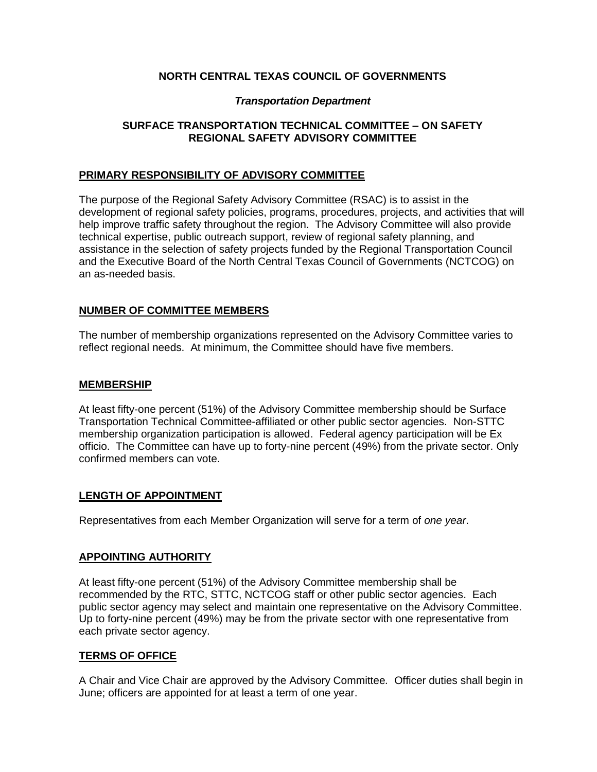# **NORTH CENTRAL TEXAS COUNCIL OF GOVERNMENTS**

## *Transportation Department*

## **SURFACE TRANSPORTATION TECHNICAL COMMITTEE – ON SAFETY REGIONAL SAFETY ADVISORY COMMITTEE**

## **PRIMARY RESPONSIBILITY OF ADVISORY COMMITTEE**

The purpose of the Regional Safety Advisory Committee (RSAC) is to assist in the development of regional safety policies, programs, procedures, projects, and activities that will help improve traffic safety throughout the region. The Advisory Committee will also provide technical expertise, public outreach support, review of regional safety planning, and assistance in the selection of safety projects funded by the Regional Transportation Council and the Executive Board of the North Central Texas Council of Governments (NCTCOG) on an as-needed basis.

# **NUMBER OF COMMITTEE MEMBERS**

The number of membership organizations represented on the Advisory Committee varies to reflect regional needs. At minimum, the Committee should have five members.

## **MEMBERSHIP**

At least fifty-one percent (51%) of the Advisory Committee membership should be Surface Transportation Technical Committee-affiliated or other public sector agencies. Non-STTC membership organization participation is allowed. Federal agency participation will be Ex officio. The Committee can have up to forty-nine percent (49%) from the private sector. Only confirmed members can vote.

## **LENGTH OF APPOINTMENT**

Representatives from each Member Organization will serve for a term of *one year*.

## **APPOINTING AUTHORITY**

At least fifty-one percent (51%) of the Advisory Committee membership shall be recommended by the RTC, STTC, NCTCOG staff or other public sector agencies. Each public sector agency may select and maintain one representative on the Advisory Committee. Up to forty-nine percent (49%) may be from the private sector with one representative from each private sector agency.

# **TERMS OF OFFICE**

A Chair and Vice Chair are approved by the Advisory Committee*.* Officer duties shall begin in June; officers are appointed for at least a term of one year.